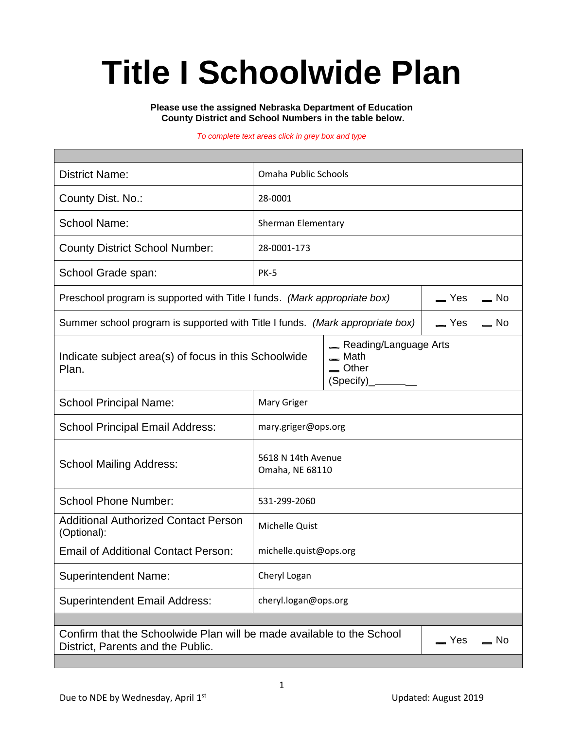# **Title I Schoolwide Plan**

#### **Please use the assigned Nebraska Department of Education County District and School Numbers in the table below.**

#### *To complete text areas click in grey box and type*

| <b>District Name:</b>                                                                                                                | Omaha Public Schools                  |                                                                                          |  |  |  |  |
|--------------------------------------------------------------------------------------------------------------------------------------|---------------------------------------|------------------------------------------------------------------------------------------|--|--|--|--|
| County Dist. No.:                                                                                                                    | 28-0001                               |                                                                                          |  |  |  |  |
| <b>School Name:</b>                                                                                                                  | Sherman Elementary                    |                                                                                          |  |  |  |  |
| <b>County District School Number:</b>                                                                                                | 28-0001-173                           |                                                                                          |  |  |  |  |
| School Grade span:                                                                                                                   | <b>PK-5</b>                           |                                                                                          |  |  |  |  |
| Preschool program is supported with Title I funds. (Mark appropriate box)                                                            | $\equiv$ Yes<br>$\equiv$ No           |                                                                                          |  |  |  |  |
| Summer school program is supported with Title I funds. (Mark appropriate box)<br>$\equiv$ Yes $\equiv$<br>$=$ No                     |                                       |                                                                                          |  |  |  |  |
| Indicate subject area(s) of focus in this Schoolwide<br>Plan.                                                                        |                                       | Reading/Language Arts<br>$=$ Math<br>$\equiv$ Other<br>$(Specify)$ <sub>_</sub> ________ |  |  |  |  |
| <b>School Principal Name:</b>                                                                                                        | Mary Griger                           |                                                                                          |  |  |  |  |
| <b>School Principal Email Address:</b>                                                                                               | mary.griger@ops.org                   |                                                                                          |  |  |  |  |
| <b>School Mailing Address:</b>                                                                                                       | 5618 N 14th Avenue<br>Omaha, NE 68110 |                                                                                          |  |  |  |  |
| <b>School Phone Number:</b>                                                                                                          | 531-299-2060                          |                                                                                          |  |  |  |  |
| <b>Additional Authorized Contact Person</b><br>(Optional):                                                                           | Michelle Quist                        |                                                                                          |  |  |  |  |
| <b>Email of Additional Contact Person:</b>                                                                                           | michelle.quist@ops.org                |                                                                                          |  |  |  |  |
| <b>Superintendent Name:</b>                                                                                                          | Cheryl Logan                          |                                                                                          |  |  |  |  |
| <b>Superintendent Email Address:</b>                                                                                                 | cheryl.logan@ops.org                  |                                                                                          |  |  |  |  |
|                                                                                                                                      |                                       |                                                                                          |  |  |  |  |
| Confirm that the Schoolwide Plan will be made available to the School<br>$\equiv$ Yes<br>$=$ No<br>District, Parents and the Public. |                                       |                                                                                          |  |  |  |  |
|                                                                                                                                      |                                       |                                                                                          |  |  |  |  |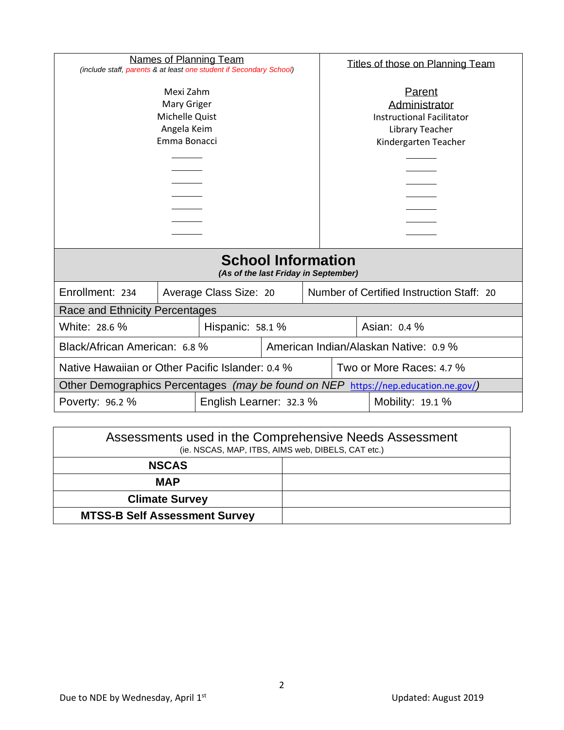| Names of Planning Team<br>(include staff, parents & at least one student if Secondary School) |  |                        | Titles of those on Planning Team                                                                       |                                       |                                           |  |  |
|-----------------------------------------------------------------------------------------------|--|------------------------|--------------------------------------------------------------------------------------------------------|---------------------------------------|-------------------------------------------|--|--|
| Mexi Zahm<br>Mary Griger<br>Michelle Quist<br>Angela Keim<br>Emma Bonacci                     |  |                        | Parent<br>Administrator<br><b>Instructional Facilitator</b><br>Library Teacher<br>Kindergarten Teacher |                                       |                                           |  |  |
| <b>School Information</b><br>(As of the last Friday in September)                             |  |                        |                                                                                                        |                                       |                                           |  |  |
| Enrollment: 234                                                                               |  | Average Class Size: 20 |                                                                                                        |                                       | Number of Certified Instruction Staff: 20 |  |  |
| Race and Ethnicity Percentages                                                                |  |                        |                                                                                                        |                                       |                                           |  |  |
| White: 28.6 %<br>Hispanic: 58.1 %                                                             |  |                        | Asian: 0.4 %                                                                                           |                                       |                                           |  |  |
| Black/African American: 6.8 %                                                                 |  |                        |                                                                                                        | American Indian/Alaskan Native: 0.9 % |                                           |  |  |
| Native Hawaiian or Other Pacific Islander: 0.4 %                                              |  |                        |                                                                                                        | Two or More Races: 4.7 %              |                                           |  |  |
| Other Demographics Percentages (may be found on NEP<br>https://nep.education.ne.gov/)         |  |                        |                                                                                                        |                                       |                                           |  |  |
| English Learner: 32.3 %<br>Poverty: 96.2 %                                                    |  |                        |                                                                                                        | Mobility: 19.1 %                      |                                           |  |  |

| Assessments used in the Comprehensive Needs Assessment<br>(ie. NSCAS, MAP, ITBS, AIMS web, DIBELS, CAT etc.) |  |  |  |  |
|--------------------------------------------------------------------------------------------------------------|--|--|--|--|
| <b>NSCAS</b>                                                                                                 |  |  |  |  |
| MAP                                                                                                          |  |  |  |  |
| <b>Climate Survey</b>                                                                                        |  |  |  |  |
| <b>MTSS-B Self Assessment Survey</b>                                                                         |  |  |  |  |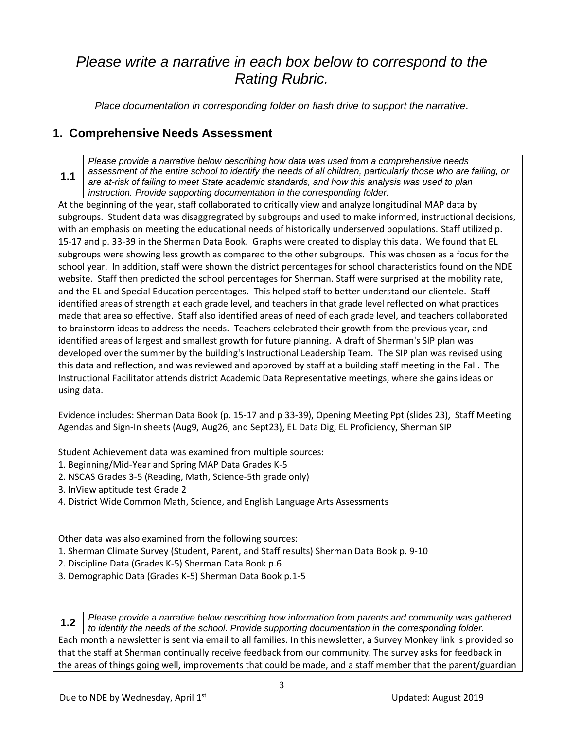## *Please write a narrative in each box below to correspond to the Rating Rubric.*

*Place documentation in corresponding folder on flash drive to support the narrative.*

### **1. Comprehensive Needs Assessment**

**1.1** *Please provide a narrative below describing how data was used from a comprehensive needs assessment of the entire school to identify the needs of all children, particularly those who are failing, or are at-risk of failing to meet State academic standards, and how this analysis was used to plan instruction. Provide supporting documentation in the corresponding folder.*

At the beginning of the year, staff collaborated to critically view and analyze longitudinal MAP data by subgroups. Student data was disaggregrated by subgroups and used to make informed, instructional decisions, with an emphasis on meeting the educational needs of historically underserved populations. Staff utilized p. 15-17 and p. 33-39 in the Sherman Data Book. Graphs were created to display this data. We found that EL subgroups were showing less growth as compared to the other subgroups. This was chosen as a focus for the school year. In addition, staff were shown the district percentages for school characteristics found on the NDE website. Staff then predicted the school percentages for Sherman. Staff were surprised at the mobility rate, and the EL and Special Education percentages. This helped staff to better understand our clientele. Staff identified areas of strength at each grade level, and teachers in that grade level reflected on what practices made that area so effective. Staff also identified areas of need of each grade level, and teachers collaborated to brainstorm ideas to address the needs. Teachers celebrated their growth from the previous year, and identified areas of largest and smallest growth for future planning. A draft of Sherman's SIP plan was developed over the summer by the building's Instructional Leadership Team. The SIP plan was revised using this data and reflection, and was reviewed and approved by staff at a building staff meeting in the Fall. The Instructional Facilitator attends district Academic Data Representative meetings, where she gains ideas on using data.

Evidence includes: Sherman Data Book (p. 15-17 and p 33-39), Opening Meeting Ppt (slides 23), Staff Meeting Agendas and Sign-In sheets (Aug9, Aug26, and Sept23), EL Data Dig, EL Proficiency, Sherman SIP

Student Achievement data was examined from multiple sources:

- 1. Beginning/Mid-Year and Spring MAP Data Grades K-5
- 2. NSCAS Grades 3-5 (Reading, Math, Science-5th grade only)
- 3. InView aptitude test Grade 2
- 4. District Wide Common Math, Science, and English Language Arts Assessments

Other data was also examined from the following sources:

- 1. Sherman Climate Survey (Student, Parent, and Staff results) Sherman Data Book p. 9-10
- 2. Discipline Data (Grades K-5) Sherman Data Book p.6
- 3. Demographic Data (Grades K-5) Sherman Data Book p.1-5

**1.2** *Please provide a narrative below describing how information from parents and community was gathered to identify the needs of the school. Provide supporting documentation in the corresponding folder.*

Each month a newsletter is sent via email to all families. In this newsletter, a Survey Monkey link is provided so that the staff at Sherman continually receive feedback from our community. The survey asks for feedback in the areas of things going well, improvements that could be made, and a staff member that the parent/guardian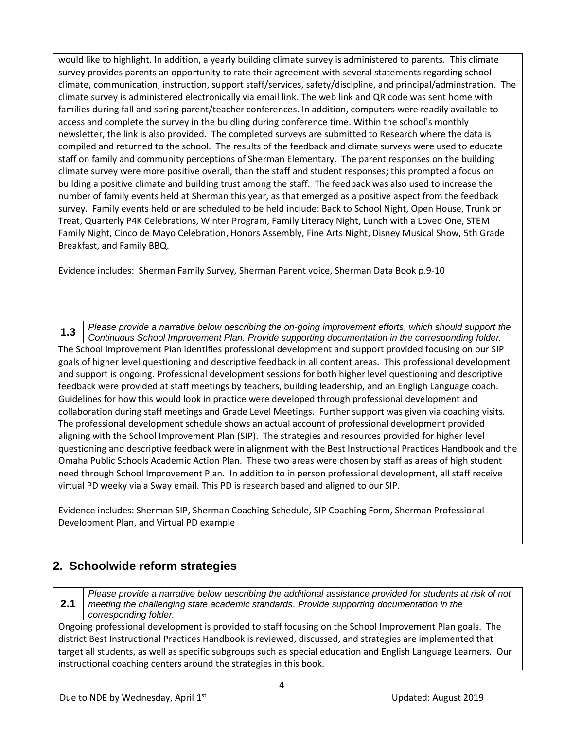would like to highlight. In addition, a yearly building climate survey is administered to parents. This climate survey provides parents an opportunity to rate their agreement with several statements regarding school climate, communication, instruction, support staff/services, safety/discipline, and principal/adminstration. The climate survey is administered electronically via email link. The web link and QR code was sent home with families during fall and spring parent/teacher conferences. In addition, computers were readily available to access and complete the survey in the buidling during conference time. Within the school's monthly newsletter, the link is also provided. The completed surveys are submitted to Research where the data is compiled and returned to the school. The results of the feedback and climate surveys were used to educate staff on family and community perceptions of Sherman Elementary. The parent responses on the building climate survey were more positive overall, than the staff and student responses; this prompted a focus on building a positive climate and building trust among the staff. The feedback was also used to increase the number of family events held at Sherman this year, as that emerged as a positive aspect from the feedback survey. Family events held or are scheduled to be held include: Back to School Night, Open House, Trunk or Treat, Quarterly P4K Celebrations, Winter Program, Family Literacy Night, Lunch with a Loved One, STEM Family Night, Cinco de Mayo Celebration, Honors Assembly, Fine Arts Night, Disney Musical Show, 5th Grade Breakfast, and Family BBQ.

Evidence includes: Sherman Family Survey, Sherman Parent voice, Sherman Data Book p.9-10

**1.3** *Please provide a narrative below describing the on-going improvement efforts, which should support the Continuous School Improvement Plan. Provide supporting documentation in the corresponding folder.* The School Improvement Plan identifies professional development and support provided focusing on our SIP goals of higher level questioning and descriptive feedback in all content areas. This professional development and support is ongoing. Professional development sessions for both higher level questioning and descriptive feedback were provided at staff meetings by teachers, building leadership, and an Engligh Language coach. Guidelines for how this would look in practice were developed through professional development and collaboration during staff meetings and Grade Level Meetings. Further support was given via coaching visits. The professional development schedule shows an actual account of professional development provided aligning with the School Improvement Plan (SIP). The strategies and resources provided for higher level questioning and descriptive feedback were in alignment with the Best Instructional Practices Handbook and the Omaha Public Schools Academic Action Plan. These two areas were chosen by staff as areas of high student need through School Improvement Plan. In addition to in person professional development, all staff receive virtual PD weeky via a Sway email. This PD is research based and aligned to our SIP.

Evidence includes: Sherman SIP, Sherman Coaching Schedule, SIP Coaching Form, Sherman Professional Development Plan, and Virtual PD example

## **2. Schoolwide reform strategies**

**2.1** *Please provide a narrative below describing the additional assistance provided for students at risk of not meeting the challenging state academic standards. Provide supporting documentation in the corresponding folder.*

Ongoing professional development is provided to staff focusing on the School Improvement Plan goals. The district Best Instructional Practices Handbook is reviewed, discussed, and strategies are implemented that target all students, as well as specific subgroups such as special education and English Language Learners. Our instructional coaching centers around the strategies in this book.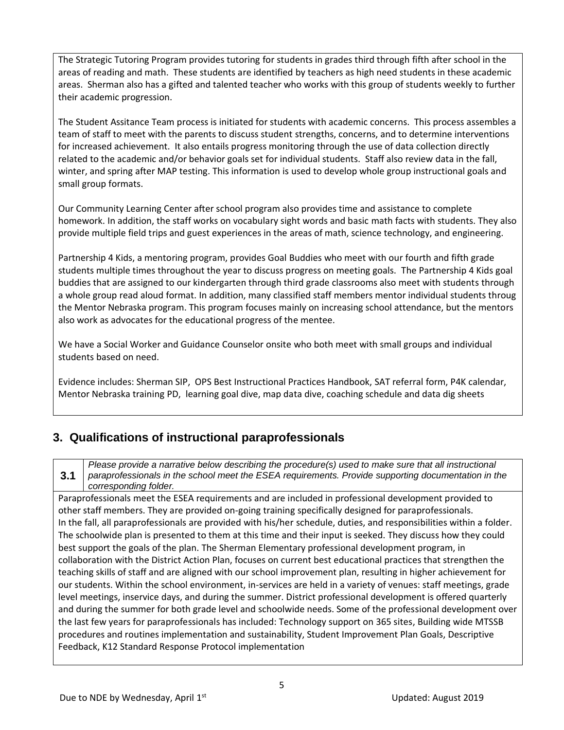The Strategic Tutoring Program provides tutoring for students in grades third through fifth after school in the areas of reading and math. These students are identified by teachers as high need students in these academic areas. Sherman also has a gifted and talented teacher who works with this group of students weekly to further their academic progression.

The Student Assitance Team process is initiated for students with academic concerns. This process assembles a team of staff to meet with the parents to discuss student strengths, concerns, and to determine interventions for increased achievement. It also entails progress monitoring through the use of data collection directly related to the academic and/or behavior goals set for individual students. Staff also review data in the fall, winter, and spring after MAP testing. This information is used to develop whole group instructional goals and small group formats.

Our Community Learning Center after school program also provides time and assistance to complete homework. In addition, the staff works on vocabulary sight words and basic math facts with students. They also provide multiple field trips and guest experiences in the areas of math, science technology, and engineering.

Partnership 4 Kids, a mentoring program, provides Goal Buddies who meet with our fourth and fifth grade students multiple times throughout the year to discuss progress on meeting goals. The Partnership 4 Kids goal buddies that are assigned to our kindergarten through third grade classrooms also meet with students through a whole group read aloud format. In addition, many classified staff members mentor individual students throug the Mentor Nebraska program. This program focuses mainly on increasing school attendance, but the mentors also work as advocates for the educational progress of the mentee.

We have a Social Worker and Guidance Counselor onsite who both meet with small groups and individual students based on need.

Evidence includes: Sherman SIP, OPS Best Instructional Practices Handbook, SAT referral form, P4K calendar, Mentor Nebraska training PD, learning goal dive, map data dive, coaching schedule and data dig sheets

#### **3. Qualifications of instructional paraprofessionals**

*Please provide a narrative below describing the procedure(s) used to make sure that all instructional paraprofessionals in the school meet the ESEA requirements. Provide supporting documentation in the* 

**3.1** *corresponding folder.*

Paraprofessionals meet the ESEA requirements and are included in professional development provided to other staff members. They are provided on-going training specifically designed for paraprofessionals. In the fall, all paraprofessionals are provided with his/her schedule, duties, and responsibilities within a folder. The schoolwide plan is presented to them at this time and their input is seeked. They discuss how they could best support the goals of the plan. The Sherman Elementary professional development program, in collaboration with the District Action Plan, focuses on current best educational practices that strengthen the teaching skills of staff and are aligned with our school improvement plan, resulting in higher achievement for our students. Within the school environment, in-services are held in a variety of venues: staff meetings, grade level meetings, inservice days, and during the summer. District professional development is offered quarterly and during the summer for both grade level and schoolwide needs. Some of the professional development over the last few years for paraprofessionals has included: Technology support on 365 sites, Building wide MTSSB procedures and routines implementation and sustainability, Student Improvement Plan Goals, Descriptive Feedback, K12 Standard Response Protocol implementation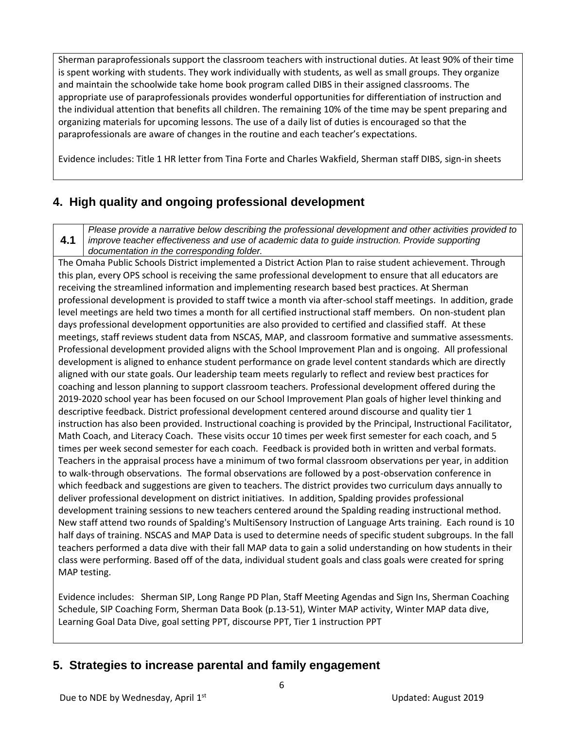Sherman paraprofessionals support the classroom teachers with instructional duties. At least 90% of their time is spent working with students. They work individually with students, as well as small groups. They organize and maintain the schoolwide take home book program called DIBS in their assigned classrooms. The appropriate use of paraprofessionals provides wonderful opportunities for differentiation of instruction and the individual attention that benefits all children. The remaining 10% of the time may be spent preparing and organizing materials for upcoming lessons. The use of a daily list of duties is encouraged so that the paraprofessionals are aware of changes in the routine and each teacher's expectations.

Evidence includes: Title 1 HR letter from Tina Forte and Charles Wakfield, Sherman staff DIBS, sign-in sheets

### **4. High quality and ongoing professional development**

**4.1** *Please provide a narrative below describing the professional development and other activities provided to improve teacher effectiveness and use of academic data to guide instruction. Provide supporting documentation in the corresponding folder.*

The Omaha Public Schools District implemented a District Action Plan to raise student achievement. Through this plan, every OPS school is receiving the same professional development to ensure that all educators are receiving the streamlined information and implementing research based best practices. At Sherman professional development is provided to staff twice a month via after-school staff meetings. In addition, grade level meetings are held two times a month for all certified instructional staff members. On non-student plan days professional development opportunities are also provided to certified and classified staff. At these meetings, staff reviews student data from NSCAS, MAP, and classroom formative and summative assessments. Professional development provided aligns with the School Improvement Plan and is ongoing. All professional development is aligned to enhance student performance on grade level content standards which are directly aligned with our state goals. Our leadership team meets regularly to reflect and review best practices for coaching and lesson planning to support classroom teachers. Professional development offered during the 2019-2020 school year has been focused on our School Improvement Plan goals of higher level thinking and descriptive feedback. District professional development centered around discourse and quality tier 1 instruction has also been provided. Instructional coaching is provided by the Principal, Instructional Facilitator, Math Coach, and Literacy Coach. These visits occur 10 times per week first semester for each coach, and 5 times per week second semester for each coach. Feedback is provided both in written and verbal formats. Teachers in the appraisal process have a minimum of two formal classroom observations per year, in addition to walk-through observations. The formal observations are followed by a post-observation conference in which feedback and suggestions are given to teachers. The district provides two curriculum days annually to deliver professional development on district initiatives. In addition, Spalding provides professional development training sessions to new teachers centered around the Spalding reading instructional method. New staff attend two rounds of Spalding's MultiSensory Instruction of Language Arts training. Each round is 10 half days of training. NSCAS and MAP Data is used to determine needs of specific student subgroups. In the fall teachers performed a data dive with their fall MAP data to gain a solid understanding on how students in their class were performing. Based off of the data, individual student goals and class goals were created for spring MAP testing.

Evidence includes: Sherman SIP, Long Range PD Plan, Staff Meeting Agendas and Sign Ins, Sherman Coaching Schedule, SIP Coaching Form, Sherman Data Book (p.13-51), Winter MAP activity, Winter MAP data dive, Learning Goal Data Dive, goal setting PPT, discourse PPT, Tier 1 instruction PPT

#### **5. Strategies to increase parental and family engagement**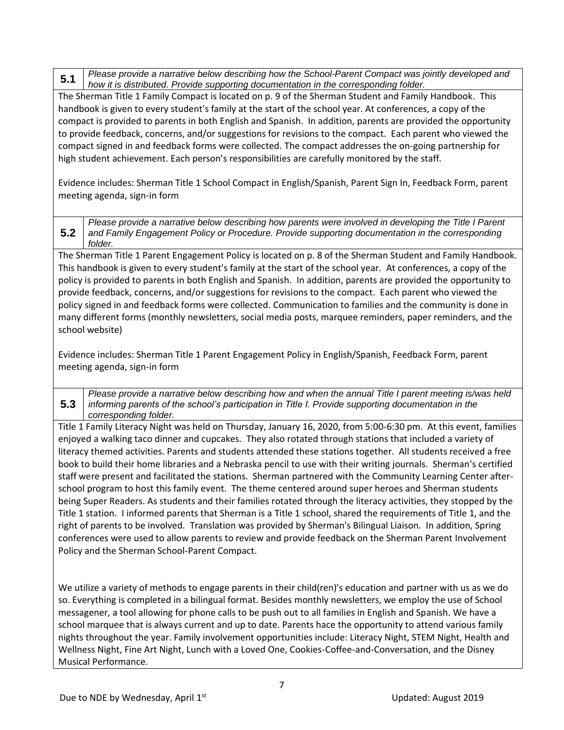**5.1** *Please provide a narrative below describing how the School-Parent Compact was jointly developed and how it is distributed. Provide supporting documentation in the corresponding folder.*

The Sherman Title 1 Family Compact is located on p. 9 of the Sherman Student and Family Handbook. This handbook is given to every student's family at the start of the school year. At conferences, a copy of the compact is provided to parents in both English and Spanish. In addition, parents are provided the opportunity to provide feedback, concerns, and/or suggestions for revisions to the compact. Each parent who viewed the compact signed in and feedback forms were collected. The compact addresses the on-going partnership for high student achievement. Each person's responsibilities are carefully monitored by the staff.

Evidence includes: Sherman Title 1 School Compact in English/Spanish, Parent Sign In, Feedback Form, parent meeting agenda, sign-in form

**5.2** *Please provide a narrative below describing how parents were involved in developing the Title I Parent and Family Engagement Policy or Procedure. Provide supporting documentation in the corresponding folder.*

The Sherman Title 1 Parent Engagement Policy is located on p. 8 of the Sherman Student and Family Handbook. This handbook is given to every student's family at the start of the school year. At conferences, a copy of the policy is provided to parents in both English and Spanish. In addition, parents are provided the opportunity to provide feedback, concerns, and/or suggestions for revisions to the compact. Each parent who viewed the policy signed in and feedback forms were collected. Communication to families and the community is done in many different forms (monthly newsletters, social media posts, marquee reminders, paper reminders, and the school website)

Evidence includes: Sherman Title 1 Parent Engagement Policy in English/Spanish, Feedback Form, parent meeting agenda, sign-in form

**5.3** *Please provide a narrative below describing how and when the annual Title I parent meeting is/was held informing parents of the school's participation in Title I. Provide supporting documentation in the corresponding folder.*

Title 1 Family Literacy Night was held on Thursday, January 16, 2020, from 5:00-6:30 pm. At this event, families enjoyed a walking taco dinner and cupcakes. They also rotated through stations that included a variety of literacy themed activities. Parents and students attended these stations together. All students received a free book to build their home libraries and a Nebraska pencil to use with their writing journals. Sherman's certified staff were present and facilitated the stations. Sherman partnered with the Community Learning Center afterschool program to host this family event. The theme centered around super heroes and Sherman students being Super Readers. As students and their families rotated through the literacy activities, they stopped by the Title 1 station. I informed parents that Sherman is a Title 1 school, shared the requirements of Title 1, and the right of parents to be involved. Translation was provided by Sherman's Bilingual Liaison. In addition, Spring conferences were used to allow parents to review and provide feedback on the Sherman Parent Involvement Policy and the Sherman School-Parent Compact.

We utilize a variety of methods to engage parents in their child(ren)'s education and partner with us as we do so. Everything is completed in a bilingual format. Besides monthly newsletters, we employ the use of School messagener, a tool allowing for phone calls to be push out to all families in English and Spanish. We have a school marquee that is always current and up to date. Parents hace the opportunity to attend various family nights throughout the year. Family involvement opportunities include: Literacy Night, STEM Night, Health and Wellness Night, Fine Art Night, Lunch with a Loved One, Cookies-Coffee-and-Conversation, and the Disney Musical Performance.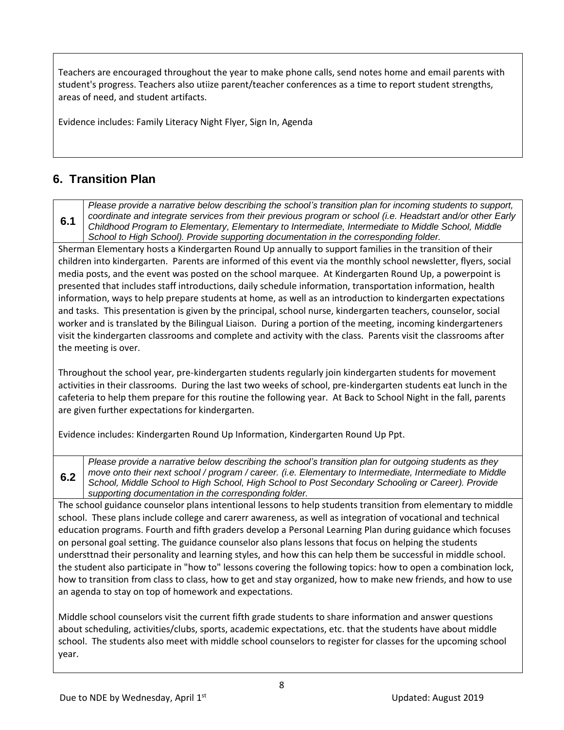Teachers are encouraged throughout the year to make phone calls, send notes home and email parents with student's progress. Teachers also utiize parent/teacher conferences as a time to report student strengths, areas of need, and student artifacts.

Evidence includes: Family Literacy Night Flyer, Sign In, Agenda

#### **6. Transition Plan**

**6.2**

**6.1** *Please provide a narrative below describing the school's transition plan for incoming students to support, coordinate and integrate services from their previous program or school (i.e. Headstart and/or other Early Childhood Program to Elementary, Elementary to Intermediate, Intermediate to Middle School, Middle School to High School). Provide supporting documentation in the corresponding folder.*

Sherman Elementary hosts a Kindergarten Round Up annually to support families in the transition of their children into kindergarten. Parents are informed of this event via the monthly school newsletter, flyers, social media posts, and the event was posted on the school marquee. At Kindergarten Round Up, a powerpoint is presented that includes staff introductions, daily schedule information, transportation information, health information, ways to help prepare students at home, as well as an introduction to kindergarten expectations and tasks. This presentation is given by the principal, school nurse, kindergarten teachers, counselor, social worker and is translated by the Bilingual Liaison. During a portion of the meeting, incoming kindergarteners visit the kindergarten classrooms and complete and activity with the class. Parents visit the classrooms after the meeting is over.

Throughout the school year, pre-kindergarten students regularly join kindergarten students for movement activities in their classrooms. During the last two weeks of school, pre-kindergarten students eat lunch in the cafeteria to help them prepare for this routine the following year. At Back to School Night in the fall, parents are given further expectations for kindergarten.

Evidence includes: Kindergarten Round Up Information, Kindergarten Round Up Ppt.

*Please provide a narrative below describing the school's transition plan for outgoing students as they move onto their next school / program / career. (i.e. Elementary to Intermediate, Intermediate to Middle School, Middle School to High School, High School to Post Secondary Schooling or Career). Provide supporting documentation in the corresponding folder.*

The school guidance counselor plans intentional lessons to help students transition from elementary to middle school. These plans include college and carerr awareness, as well as integration of vocational and technical education programs. Fourth and fifth graders develop a Personal Learning Plan during guidance which focuses on personal goal setting. The guidance counselor also plans lessons that focus on helping the students understtnad their personality and learning styles, and how this can help them be successful in middle school. the student also participate in "how to" lessons covering the following topics: how to open a combination lock, how to transition from class to class, how to get and stay organized, how to make new friends, and how to use an agenda to stay on top of homework and expectations.

Middle school counselors visit the current fifth grade students to share information and answer questions about scheduling, activities/clubs, sports, academic expectations, etc. that the students have about middle school. The students also meet with middle school counselors to register for classes for the upcoming school year.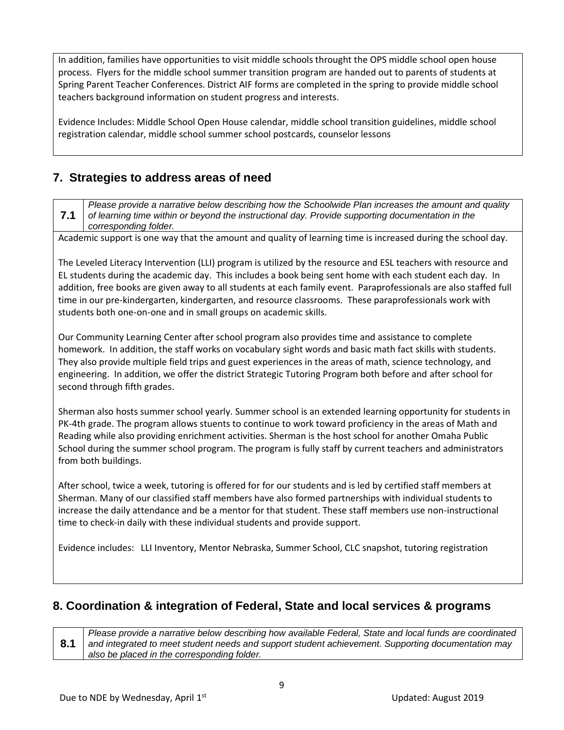In addition, families have opportunities to visit middle schools throught the OPS middle school open house process. Flyers for the middle school summer transition program are handed out to parents of students at Spring Parent Teacher Conferences. District AIF forms are completed in the spring to provide middle school teachers background information on student progress and interests.

Evidence Includes: Middle School Open House calendar, middle school transition guidelines, middle school registration calendar, middle school summer school postcards, counselor lessons

#### **7. Strategies to address areas of need**

**7.1** *Please provide a narrative below describing how the Schoolwide Plan increases the amount and quality of learning time within or beyond the instructional day. Provide supporting documentation in the corresponding folder.*

Academic support is one way that the amount and quality of learning time is increased during the school day.

The Leveled Literacy Intervention (LLI) program is utilized by the resource and ESL teachers with resource and EL students during the academic day. This includes a book being sent home with each student each day. In addition, free books are given away to all students at each family event. Paraprofessionals are also staffed full time in our pre-kindergarten, kindergarten, and resource classrooms. These paraprofessionals work with students both one-on-one and in small groups on academic skills.

Our Community Learning Center after school program also provides time and assistance to complete homework. In addition, the staff works on vocabulary sight words and basic math fact skills with students. They also provide multiple field trips and guest experiences in the areas of math, science technology, and engineering. In addition, we offer the district Strategic Tutoring Program both before and after school for second through fifth grades.

Sherman also hosts summer school yearly. Summer school is an extended learning opportunity for students in PK-4th grade. The program allows stuents to continue to work toward proficiency in the areas of Math and Reading while also providing enrichment activities. Sherman is the host school for another Omaha Public School during the summer school program. The program is fully staff by current teachers and administrators from both buildings.

After school, twice a week, tutoring is offered for for our students and is led by certified staff members at Sherman. Many of our classified staff members have also formed partnerships with individual students to increase the daily attendance and be a mentor for that student. These staff members use non-instructional time to check-in daily with these individual students and provide support.

Evidence includes: LLI Inventory, Mentor Nebraska, Summer School, CLC snapshot, tutoring registration

#### **8. Coordination & integration of Federal, State and local services & programs**

**8.1** *Please provide a narrative below describing how available Federal, State and local funds are coordinated and integrated to meet student needs and support student achievement. Supporting documentation may also be placed in the corresponding folder.*